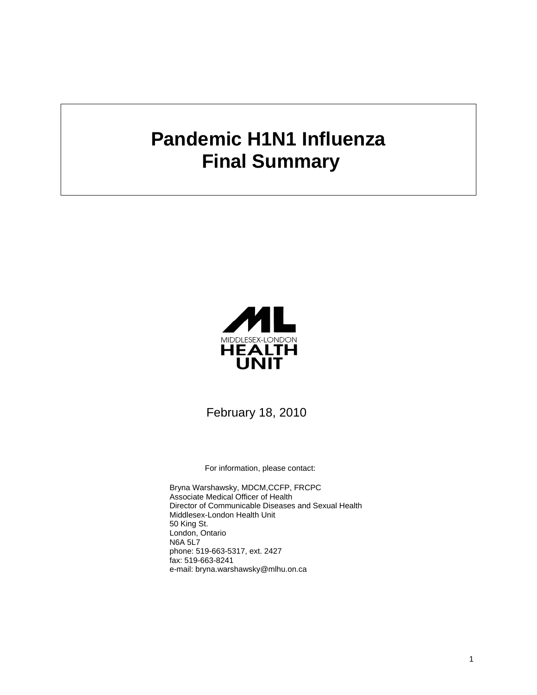# **Pandemic H1N1 Influenza Final Summary**



February 18, 2010

For information, please contact:

Bryna Warshawsky, MDCM,CCFP, FRCPC Associate Medical Officer of Health Director of Communicable Diseases and Sexual Health Middlesex-London Health Unit 50 King St. London, Ontario N6A 5L7 phone: 519-663-5317, ext. 2427 fax: 519-663-8241 e-mail: bryna.warshawsky@mlhu.on.ca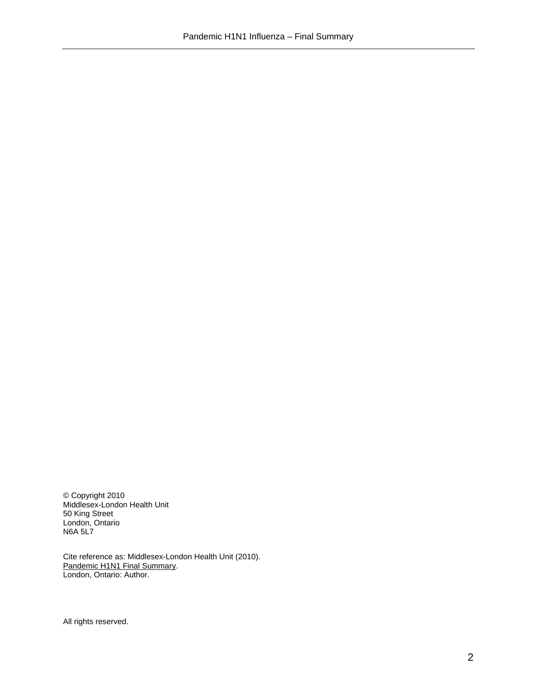© Copyright 2010 Middlesex-London Health Unit 50 King Street London, Ontario N6A 5L7

Cite reference as: Middlesex-London Health Unit (2010). Pandemic H1N1 Final Summary. London, Ontario: Author.

All rights reserved.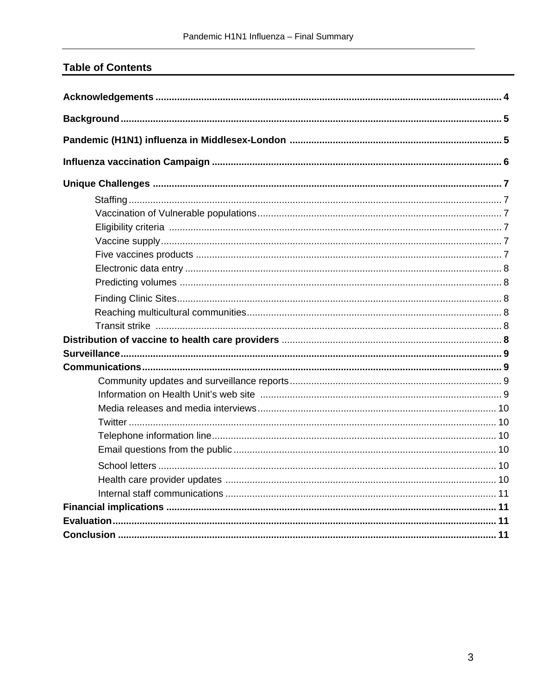# **Table of Contents**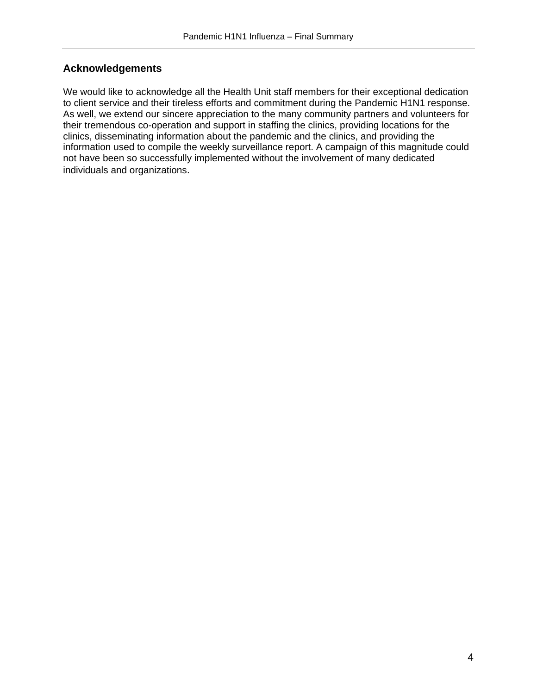### **Acknowledgements**

We would like to acknowledge all the Health Unit staff members for their exceptional dedication to client service and their tireless efforts and commitment during the Pandemic H1N1 response. As well, we extend our sincere appreciation to the many community partners and volunteers for their tremendous co-operation and support in staffing the clinics, providing locations for the clinics, disseminating information about the pandemic and the clinics, and providing the information used to compile the weekly surveillance report. A campaign of this magnitude could not have been so successfully implemented without the involvement of many dedicated individuals and organizations.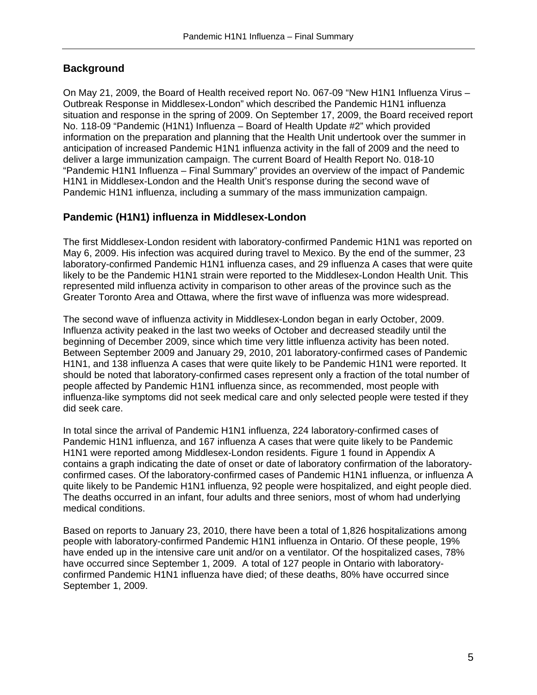## **Background**

On May 21, 2009, the Board of Health received report No. 067-09 "New H1N1 Influenza Virus – Outbreak Response in Middlesex-London" which described the Pandemic H1N1 influenza situation and response in the spring of 2009. On September 17, 2009, the Board received report No. 118-09 "Pandemic (H1N1) Influenza – Board of Health Update #2" which provided information on the preparation and planning that the Health Unit undertook over the summer in anticipation of increased Pandemic H1N1 influenza activity in the fall of 2009 and the need to deliver a large immunization campaign. The current Board of Health Report No. 018-10 "Pandemic H1N1 Influenza – Final Summary" provides an overview of the impact of Pandemic H1N1 in Middlesex-London and the Health Unit's response during the second wave of Pandemic H1N1 influenza, including a summary of the mass immunization campaign.

#### **Pandemic (H1N1) influenza in Middlesex-London**

The first Middlesex-London resident with laboratory-confirmed Pandemic H1N1 was reported on May 6, 2009. His infection was acquired during travel to Mexico. By the end of the summer, 23 laboratory-confirmed Pandemic H1N1 influenza cases, and 29 influenza A cases that were quite likely to be the Pandemic H1N1 strain were reported to the Middlesex-London Health Unit. This represented mild influenza activity in comparison to other areas of the province such as the Greater Toronto Area and Ottawa, where the first wave of influenza was more widespread.

The second wave of influenza activity in Middlesex-London began in early October, 2009. Influenza activity peaked in the last two weeks of October and decreased steadily until the beginning of December 2009, since which time very little influenza activity has been noted. Between September 2009 and January 29, 2010, 201 laboratory-confirmed cases of Pandemic H1N1, and 138 influenza A cases that were quite likely to be Pandemic H1N1 were reported. It should be noted that laboratory-confirmed cases represent only a fraction of the total number of people affected by Pandemic H1N1 influenza since, as recommended, most people with influenza-like symptoms did not seek medical care and only selected people were tested if they did seek care.

In total since the arrival of Pandemic H1N1 influenza, 224 laboratory-confirmed cases of Pandemic H1N1 influenza, and 167 influenza A cases that were quite likely to be Pandemic H1N1 were reported among Middlesex-London residents. Figure 1 found in Appendix A contains a graph indicating the date of onset or date of laboratory confirmation of the laboratoryconfirmed cases. Of the laboratory-confirmed cases of Pandemic H1N1 influenza, or influenza A quite likely to be Pandemic H1N1 influenza, 92 people were hospitalized, and eight people died. The deaths occurred in an infant, four adults and three seniors, most of whom had underlying medical conditions.

Based on reports to January 23, 2010, there have been a total of 1,826 hospitalizations among people with laboratory-confirmed Pandemic H1N1 influenza in Ontario. Of these people, 19% have ended up in the intensive care unit and/or on a ventilator. Of the hospitalized cases, 78% have occurred since September 1, 2009. A total of 127 people in Ontario with laboratoryconfirmed Pandemic H1N1 influenza have died; of these deaths, 80% have occurred since September 1, 2009.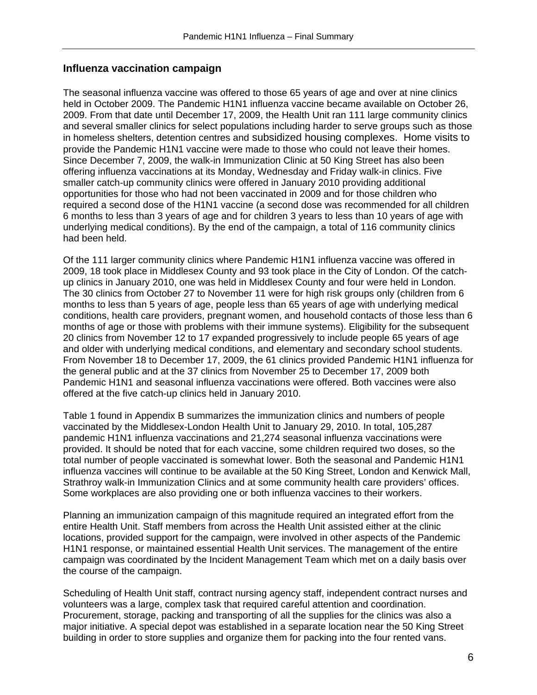#### **Influenza vaccination campaign**

The seasonal influenza vaccine was offered to those 65 years of age and over at nine clinics held in October 2009. The Pandemic H1N1 influenza vaccine became available on October 26, 2009. From that date until December 17, 2009, the Health Unit ran 111 large community clinics and several smaller clinics for select populations including harder to serve groups such as those in homeless shelters, detention centres and subsidized housing complexes. Home visits to provide the Pandemic H1N1 vaccine were made to those who could not leave their homes. Since December 7, 2009, the walk-in Immunization Clinic at 50 King Street has also been offering influenza vaccinations at its Monday, Wednesday and Friday walk-in clinics. Five smaller catch-up community clinics were offered in January 2010 providing additional opportunities for those who had not been vaccinated in 2009 and for those children who required a second dose of the H1N1 vaccine (a second dose was recommended for all children 6 months to less than 3 years of age and for children 3 years to less than 10 years of age with underlying medical conditions). By the end of the campaign, a total of 116 community clinics had been held.

Of the 111 larger community clinics where Pandemic H1N1 influenza vaccine was offered in 2009, 18 took place in Middlesex County and 93 took place in the City of London. Of the catchup clinics in January 2010, one was held in Middlesex County and four were held in London. The 30 clinics from October 27 to November 11 were for high risk groups only (children from 6 months to less than 5 years of age, people less than 65 years of age with underlying medical conditions, health care providers, pregnant women, and household contacts of those less than 6 months of age or those with problems with their immune systems). Eligibility for the subsequent 20 clinics from November 12 to 17 expanded progressively to include people 65 years of age and older with underlying medical conditions, and elementary and secondary school students. From November 18 to December 17, 2009, the 61 clinics provided Pandemic H1N1 influenza for the general public and at the 37 clinics from November 25 to December 17, 2009 both Pandemic H1N1 and seasonal influenza vaccinations were offered. Both vaccines were also offered at the five catch-up clinics held in January 2010.

Table 1 found in Appendix B summarizes the immunization clinics and numbers of people vaccinated by the Middlesex-London Health Unit to January 29, 2010. In total, 105,287 pandemic H1N1 influenza vaccinations and 21,274 seasonal influenza vaccinations were provided. It should be noted that for each vaccine, some children required two doses, so the total number of people vaccinated is somewhat lower. Both the seasonal and Pandemic H1N1 influenza vaccines will continue to be available at the 50 King Street, London and Kenwick Mall, Strathroy walk-in Immunization Clinics and at some community health care providers' offices. Some workplaces are also providing one or both influenza vaccines to their workers.

Planning an immunization campaign of this magnitude required an integrated effort from the entire Health Unit. Staff members from across the Health Unit assisted either at the clinic locations, provided support for the campaign, were involved in other aspects of the Pandemic H1N1 response, or maintained essential Health Unit services. The management of the entire campaign was coordinated by the Incident Management Team which met on a daily basis over the course of the campaign.

Scheduling of Health Unit staff, contract nursing agency staff, independent contract nurses and volunteers was a large, complex task that required careful attention and coordination. Procurement, storage, packing and transporting of all the supplies for the clinics was also a major initiative. A special depot was established in a separate location near the 50 King Street building in order to store supplies and organize them for packing into the four rented vans.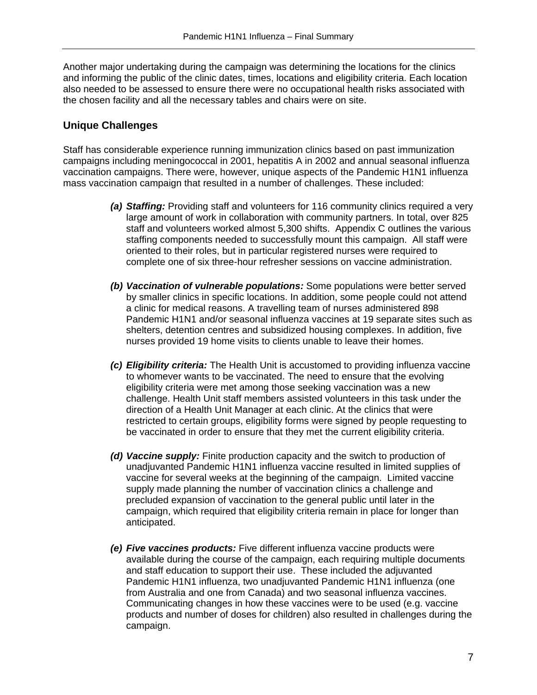Another major undertaking during the campaign was determining the locations for the clinics and informing the public of the clinic dates, times, locations and eligibility criteria. Each location also needed to be assessed to ensure there were no occupational health risks associated with the chosen facility and all the necessary tables and chairs were on site.

#### **Unique Challenges**

Staff has considerable experience running immunization clinics based on past immunization campaigns including meningococcal in 2001, hepatitis A in 2002 and annual seasonal influenza vaccination campaigns. There were, however, unique aspects of the Pandemic H1N1 influenza mass vaccination campaign that resulted in a number of challenges. These included:

- *(a) Staffing:* Providing staff and volunteers for 116 community clinics required a very large amount of work in collaboration with community partners. In total, over 825 staff and volunteers worked almost 5,300 shifts. Appendix C outlines the various staffing components needed to successfully mount this campaign. All staff were oriented to their roles, but in particular registered nurses were required to complete one of six three-hour refresher sessions on vaccine administration.
- *(b) Vaccination of vulnerable populations:* Some populations were better served by smaller clinics in specific locations. In addition, some people could not attend a clinic for medical reasons. A travelling team of nurses administered 898 Pandemic H1N1 and/or seasonal influenza vaccines at 19 separate sites such as shelters, detention centres and subsidized housing complexes. In addition, five nurses provided 19 home visits to clients unable to leave their homes.
- *(c) Eligibility criteria:* The Health Unit is accustomed to providing influenza vaccine to whomever wants to be vaccinated. The need to ensure that the evolving eligibility criteria were met among those seeking vaccination was a new challenge. Health Unit staff members assisted volunteers in this task under the direction of a Health Unit Manager at each clinic. At the clinics that were restricted to certain groups, eligibility forms were signed by people requesting to be vaccinated in order to ensure that they met the current eligibility criteria.
- *(d) Vaccine supply:* Finite production capacity and the switch to production of unadjuvanted Pandemic H1N1 influenza vaccine resulted in limited supplies of vaccine for several weeks at the beginning of the campaign. Limited vaccine supply made planning the number of vaccination clinics a challenge and precluded expansion of vaccination to the general public until later in the campaign, which required that eligibility criteria remain in place for longer than anticipated.
- *(e) Five vaccines products:* Five different influenza vaccine products were available during the course of the campaign, each requiring multiple documents and staff education to support their use. These included the adjuvanted Pandemic H1N1 influenza, two unadjuvanted Pandemic H1N1 influenza (one from Australia and one from Canada) and two seasonal influenza vaccines. Communicating changes in how these vaccines were to be used (e.g. vaccine products and number of doses for children) also resulted in challenges during the campaign.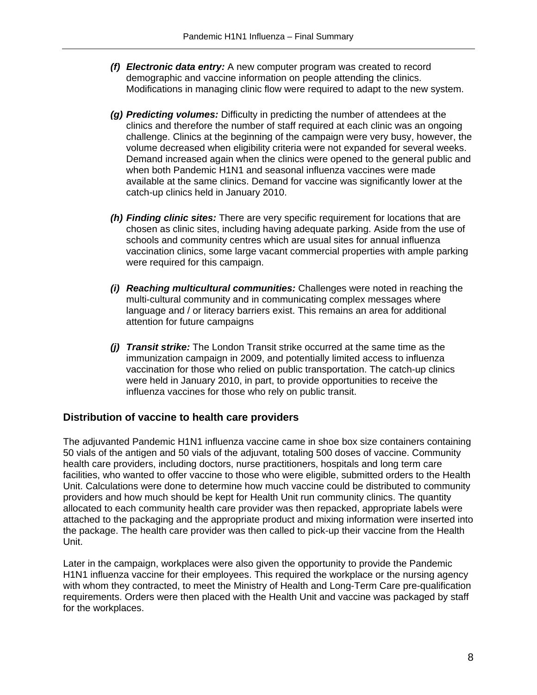- *(f) Electronic data entry:* A new computer program was created to record demographic and vaccine information on people attending the clinics. Modifications in managing clinic flow were required to adapt to the new system.
- *(g) Predicting volumes:* Difficulty in predicting the number of attendees at the clinics and therefore the number of staff required at each clinic was an ongoing challenge. Clinics at the beginning of the campaign were very busy, however, the volume decreased when eligibility criteria were not expanded for several weeks. Demand increased again when the clinics were opened to the general public and when both Pandemic H1N1 and seasonal influenza vaccines were made available at the same clinics. Demand for vaccine was significantly lower at the catch-up clinics held in January 2010.
- *(h) Finding clinic sites:* There are very specific requirement for locations that are chosen as clinic sites, including having adequate parking. Aside from the use of schools and community centres which are usual sites for annual influenza vaccination clinics, some large vacant commercial properties with ample parking were required for this campaign.
- *(i) Reaching multicultural communities:* Challenges were noted in reaching the multi-cultural community and in communicating complex messages where language and / or literacy barriers exist. This remains an area for additional attention for future campaigns
- *(j) Transit strike:* The London Transit strike occurred at the same time as the immunization campaign in 2009, and potentially limited access to influenza vaccination for those who relied on public transportation. The catch-up clinics were held in January 2010, in part, to provide opportunities to receive the influenza vaccines for those who rely on public transit.

#### **Distribution of vaccine to health care providers**

The adjuvanted Pandemic H1N1 influenza vaccine came in shoe box size containers containing 50 vials of the antigen and 50 vials of the adjuvant, totaling 500 doses of vaccine. Community health care providers, including doctors, nurse practitioners, hospitals and long term care facilities, who wanted to offer vaccine to those who were eligible, submitted orders to the Health Unit. Calculations were done to determine how much vaccine could be distributed to community providers and how much should be kept for Health Unit run community clinics. The quantity allocated to each community health care provider was then repacked, appropriate labels were attached to the packaging and the appropriate product and mixing information were inserted into the package. The health care provider was then called to pick-up their vaccine from the Health Unit.

Later in the campaign, workplaces were also given the opportunity to provide the Pandemic H1N1 influenza vaccine for their employees. This required the workplace or the nursing agency with whom they contracted, to meet the Ministry of Health and Long-Term Care pre-qualification requirements. Orders were then placed with the Health Unit and vaccine was packaged by staff for the workplaces.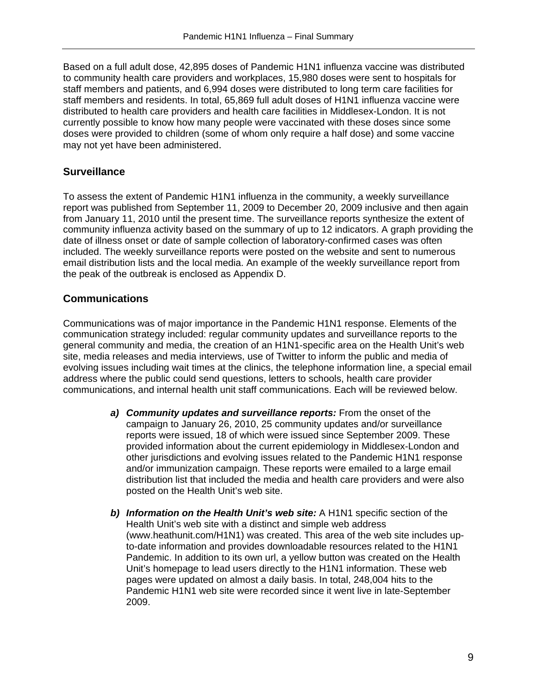Based on a full adult dose, 42,895 doses of Pandemic H1N1 influenza vaccine was distributed to community health care providers and workplaces, 15,980 doses were sent to hospitals for staff members and patients, and 6,994 doses were distributed to long term care facilities for staff members and residents. In total, 65,869 full adult doses of H1N1 influenza vaccine were distributed to health care providers and health care facilities in Middlesex-London. It is not currently possible to know how many people were vaccinated with these doses since some doses were provided to children (some of whom only require a half dose) and some vaccine may not yet have been administered.

#### **Surveillance**

To assess the extent of Pandemic H1N1 influenza in the community, a weekly surveillance report was published from September 11, 2009 to December 20, 2009 inclusive and then again from January 11, 2010 until the present time. The surveillance reports synthesize the extent of community influenza activity based on the summary of up to 12 indicators. A graph providing the date of illness onset or date of sample collection of laboratory-confirmed cases was often included. The weekly surveillance reports were posted on the website and sent to numerous email distribution lists and the local media. An example of the weekly surveillance report from the peak of the outbreak is enclosed as Appendix D.

#### **Communications**

Communications was of major importance in the Pandemic H1N1 response. Elements of the communication strategy included: regular community updates and surveillance reports to the general community and media, the creation of an H1N1-specific area on the Health Unit's web site, media releases and media interviews, use of Twitter to inform the public and media of evolving issues including wait times at the clinics, the telephone information line, a special email address where the public could send questions, letters to schools, health care provider communications, and internal health unit staff communications. Each will be reviewed below.

- *a) Community updates and surveillance reports:* From the onset of the campaign to January 26, 2010, 25 community updates and/or surveillance reports were issued, 18 of which were issued since September 2009. These provided information about the current epidemiology in Middlesex-London and other jurisdictions and evolving issues related to the Pandemic H1N1 response and/or immunization campaign. These reports were emailed to a large email distribution list that included the media and health care providers and were also posted on the Health Unit's web site.
- *b) Information on the Health Unit's web site:* A H1N1 specific section of the Health Unit's web site with a distinct and simple web address (www.heathunit.com/H1N1) was created. This area of the web site includes upto-date information and provides downloadable resources related to the H1N1 Pandemic. In addition to its own url, a yellow button was created on the Health Unit's homepage to lead users directly to the H1N1 information. These web pages were updated on almost a daily basis. In total, 248,004 hits to the Pandemic H1N1 web site were recorded since it went live in late-September 2009.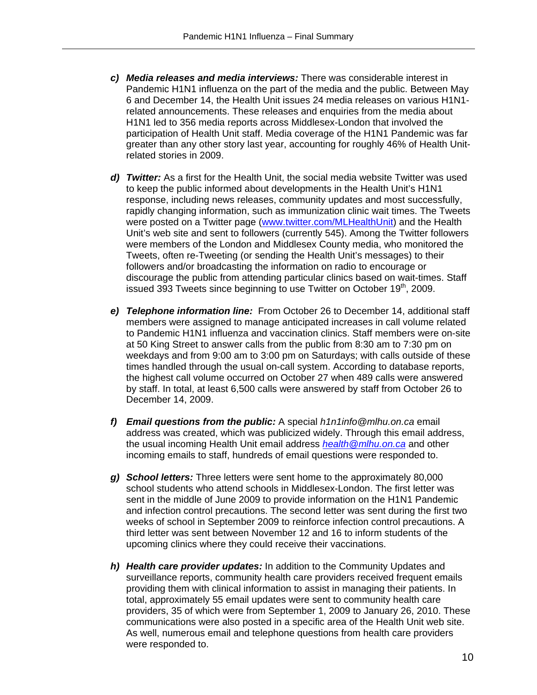- *c) Media releases and media interviews:* There was considerable interest in Pandemic H1N1 influenza on the part of the media and the public. Between May 6 and December 14, the Health Unit issues 24 media releases on various H1N1 related announcements. These releases and enquiries from the media about H1N1 led to 356 media reports across Middlesex-London that involved the participation of Health Unit staff. Media coverage of the H1N1 Pandemic was far greater than any other story last year, accounting for roughly 46% of Health Unitrelated stories in 2009.
- *d) Twitter:* As a first for the Health Unit, the social media website Twitter was used to keep the public informed about developments in the Health Unit's H1N1 response, including news releases, community updates and most successfully, rapidly changing information, such as immunization clinic wait times. The Tweets were posted on a Twitter page (www.twitter.com/MLHealthUnit) and the Health Unit's web site and sent to followers (currently 545). Among the Twitter followers were members of the London and Middlesex County media, who monitored the Tweets, often re-Tweeting (or sending the Health Unit's messages) to their followers and/or broadcasting the information on radio to encourage or discourage the public from attending particular clinics based on wait-times. Staff issued 393 Tweets since beginning to use Twitter on October 19<sup>th</sup>, 2009.
- *e) Telephone information line:* From October 26 to December 14, additional staff members were assigned to manage anticipated increases in call volume related to Pandemic H1N1 influenza and vaccination clinics. Staff members were on-site at 50 King Street to answer calls from the public from 8:30 am to 7:30 pm on weekdays and from 9:00 am to 3:00 pm on Saturdays; with calls outside of these times handled through the usual on-call system. According to database reports, the highest call volume occurred on October 27 when 489 calls were answered by staff. In total, at least 6,500 calls were answered by staff from October 26 to December 14, 2009.
- *f) Email questions from the public:* A special *h1n1info@mlhu.on.ca* email address was created, which was publicized widely. Through this email address, the usual incoming Health Unit email address *health@mlhu.on.ca* and other incoming emails to staff, hundreds of email questions were responded to.
- *g) School letters:* Three letters were sent home to the approximately 80,000 school students who attend schools in Middlesex-London. The first letter was sent in the middle of June 2009 to provide information on the H1N1 Pandemic and infection control precautions. The second letter was sent during the first two weeks of school in September 2009 to reinforce infection control precautions. A third letter was sent between November 12 and 16 to inform students of the upcoming clinics where they could receive their vaccinations.
- *h) Health care provider updates:* In addition to the Community Updates and surveillance reports, community health care providers received frequent emails providing them with clinical information to assist in managing their patients. In total, approximately 55 email updates were sent to community health care providers, 35 of which were from September 1, 2009 to January 26, 2010. These communications were also posted in a specific area of the Health Unit web site. As well, numerous email and telephone questions from health care providers were responded to.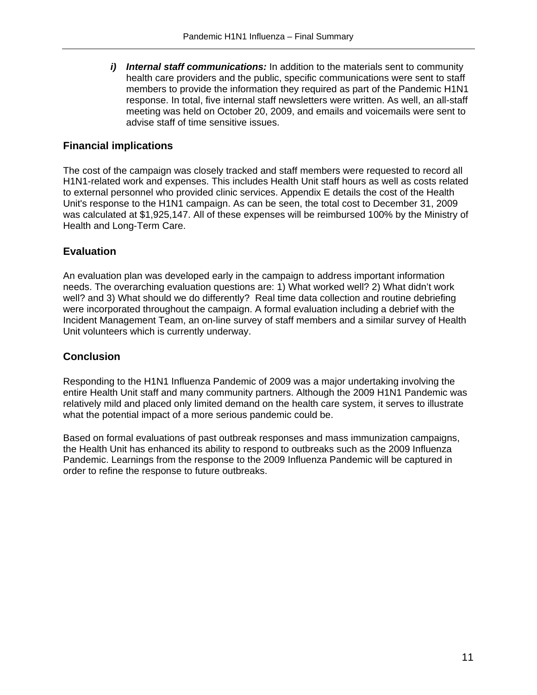*i) Internal staff communications:* In addition to the materials sent to community health care providers and the public, specific communications were sent to staff members to provide the information they required as part of the Pandemic H1N1 response. In total, five internal staff newsletters were written. As well, an all-staff meeting was held on October 20, 2009, and emails and voicemails were sent to advise staff of time sensitive issues.

#### **Financial implications**

The cost of the campaign was closely tracked and staff members were requested to record all H1N1-related work and expenses. This includes Health Unit staff hours as well as costs related to external personnel who provided clinic services. Appendix E details the cost of the Health Unit's response to the H1N1 campaign. As can be seen, the total cost to December 31, 2009 was calculated at \$1,925,147. All of these expenses will be reimbursed 100% by the Ministry of Health and Long-Term Care.

#### **Evaluation**

An evaluation plan was developed early in the campaign to address important information needs. The overarching evaluation questions are: 1) What worked well? 2) What didn't work well? and 3) What should we do differently? Real time data collection and routine debriefing were incorporated throughout the campaign. A formal evaluation including a debrief with the Incident Management Team, an on-line survey of staff members and a similar survey of Health Unit volunteers which is currently underway.

#### **Conclusion**

Responding to the H1N1 Influenza Pandemic of 2009 was a major undertaking involving the entire Health Unit staff and many community partners. Although the 2009 H1N1 Pandemic was relatively mild and placed only limited demand on the health care system, it serves to illustrate what the potential impact of a more serious pandemic could be.

Based on formal evaluations of past outbreak responses and mass immunization campaigns, the Health Unit has enhanced its ability to respond to outbreaks such as the 2009 Influenza Pandemic. Learnings from the response to the 2009 Influenza Pandemic will be captured in order to refine the response to future outbreaks.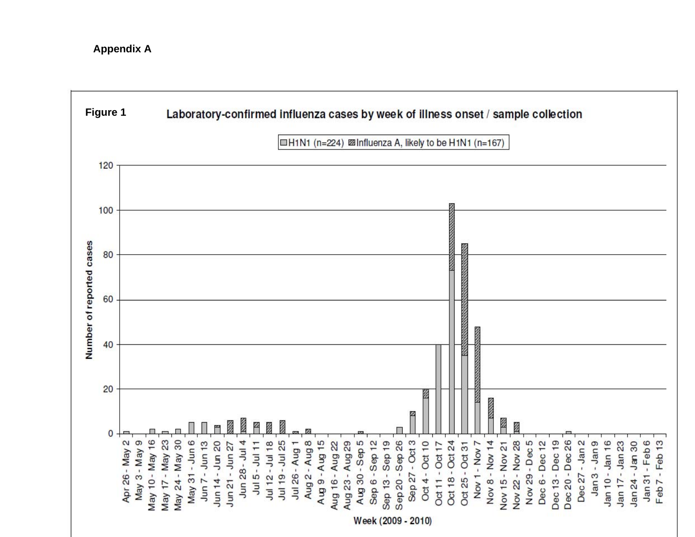#### **Appendix A**

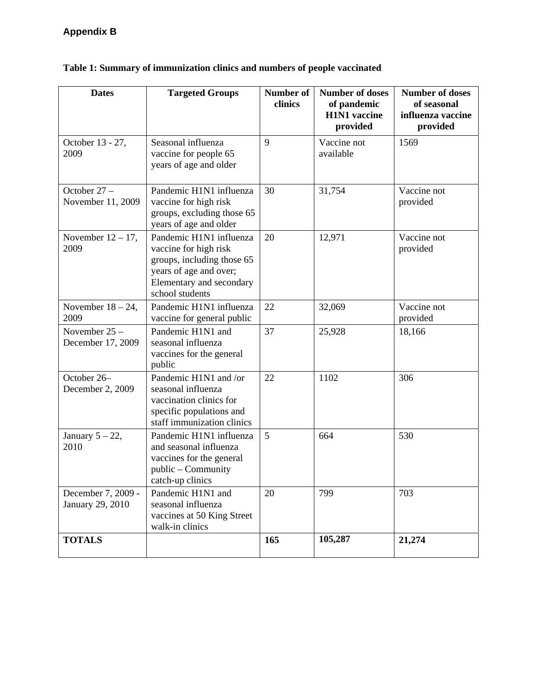| <b>Dates</b>                           | <b>Targeted Groups</b>                                                                                                                                  | <b>Number of</b><br>clinics | <b>Number of doses</b><br>of pandemic<br><b>H1N1</b> vaccine<br>provided | <b>Number of doses</b><br>of seasonal<br>influenza vaccine<br>provided |
|----------------------------------------|---------------------------------------------------------------------------------------------------------------------------------------------------------|-----------------------------|--------------------------------------------------------------------------|------------------------------------------------------------------------|
| October 13 - 27,<br>2009               | Seasonal influenza<br>vaccine for people 65<br>years of age and older                                                                                   | 9                           | Vaccine not<br>available                                                 | 1569                                                                   |
| October 27 -<br>November 11, 2009      | Pandemic H1N1 influenza<br>vaccine for high risk<br>groups, excluding those 65<br>years of age and older                                                | 30                          | 31,754                                                                   | Vaccine not<br>provided                                                |
| November $12 - 17$ ,<br>2009           | Pandemic H1N1 influenza<br>vaccine for high risk<br>groups, including those 65<br>years of age and over;<br>Elementary and secondary<br>school students | 20                          | 12,971                                                                   | Vaccine not<br>provided                                                |
| November $18 - 24$ ,<br>2009           | Pandemic H1N1 influenza<br>vaccine for general public                                                                                                   | 22                          | 32,069                                                                   | Vaccine not<br>provided                                                |
| November 25 -<br>December 17, 2009     | Pandemic H1N1 and<br>seasonal influenza<br>vaccines for the general<br>public                                                                           | 37                          | 25,928                                                                   | 18,166                                                                 |
| October 26-<br>December 2, 2009        | Pandemic H1N1 and /or<br>seasonal influenza<br>vaccination clinics for<br>specific populations and<br>staff immunization clinics                        | 22                          | 1102                                                                     | 306                                                                    |
| January $5 - 22$ ,<br>2010             | Pandemic H1N1 influenza<br>and seasonal influenza<br>vaccines for the general<br>public – Community<br>catch-up clinics                                 | 5                           | 664                                                                      | 530                                                                    |
| December 7, 2009 -<br>January 29, 2010 | Pandemic H1N1 and<br>seasonal influenza<br>vaccines at 50 King Street<br>walk-in clinics                                                                | 20                          | 799                                                                      | 703                                                                    |
| <b>TOTALS</b>                          |                                                                                                                                                         | 165                         | 105,287                                                                  | 21,274                                                                 |

## **Table 1: Summary of immunization clinics and numbers of people vaccinated**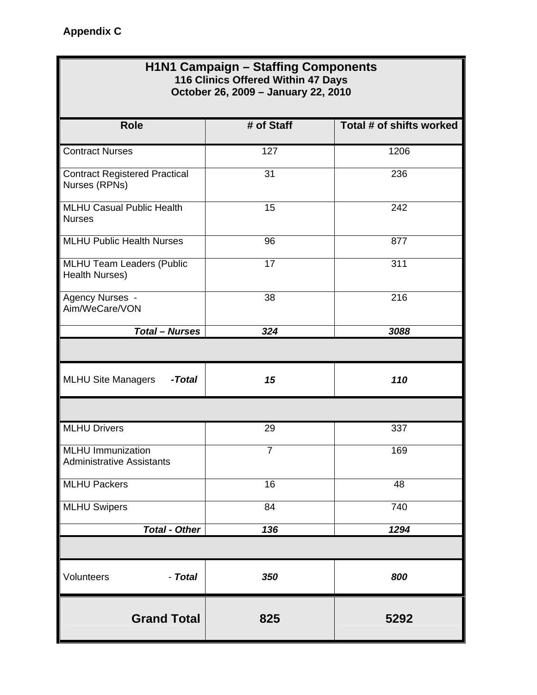### **H1N1 Campaign – Staffing Components 116 Clinics Offered Within 47 Days October 26, 2009 – January 22, 2010**

| <b>Role</b>                                                  | # of Staff     | Total # of shifts worked |
|--------------------------------------------------------------|----------------|--------------------------|
| <b>Contract Nurses</b>                                       | 127            | 1206                     |
| <b>Contract Registered Practical</b><br>Nurses (RPNs)        | 31             | 236                      |
| <b>MLHU Casual Public Health</b><br><b>Nurses</b>            | 15             | 242                      |
| <b>MLHU Public Health Nurses</b>                             | 96             | 877                      |
| <b>MLHU Team Leaders (Public</b><br>Health Nurses)           | 17             | 311                      |
| Agency Nurses -<br>Aim/WeCare/VON                            | 38             | 216                      |
| <b>Total - Nurses</b>                                        | 324            | 3088                     |
|                                                              |                |                          |
| <b>MLHU Site Managers</b><br>-Total                          | 15             | 110                      |
|                                                              |                |                          |
| <b>MLHU Drivers</b>                                          | 29             | 337                      |
| <b>MLHU Immunization</b><br><b>Administrative Assistants</b> | $\overline{7}$ | 169                      |
| <b>MLHU Packers</b>                                          | 16             | 48                       |
| <b>MLHU Swipers</b>                                          | 84             | 740                      |
| <b>Total - Other</b>                                         | 136            | 1294                     |
|                                                              |                |                          |
| Volunteers<br>- Total                                        | 350            | 800                      |
| <b>Grand Total</b>                                           | 825            | 5292                     |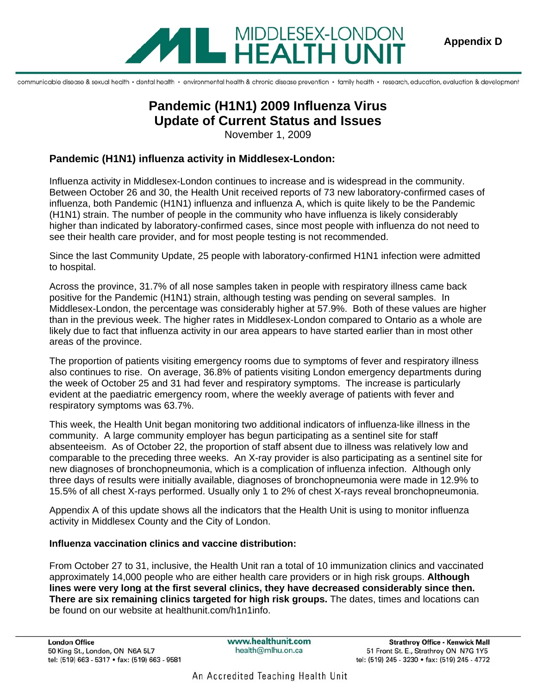

communicable disease & sexual health · dental health · environmental health & chronic disease prevention · family health · research, education, evaluation & development

# **Pandemic (H1N1) 2009 Influenza Virus Update of Current Status and Issues**

November 1, 2009

#### **Pandemic (H1N1) influenza activity in Middlesex-London:**

Influenza activity in Middlesex-London continues to increase and is widespread in the community. Between October 26 and 30, the Health Unit received reports of 73 new laboratory-confirmed cases of influenza, both Pandemic (H1N1) influenza and influenza A, which is quite likely to be the Pandemic (H1N1) strain. The number of people in the community who have influenza is likely considerably higher than indicated by laboratory-confirmed cases, since most people with influenza do not need to see their health care provider, and for most people testing is not recommended.

Since the last Community Update, 25 people with laboratory-confirmed H1N1 infection were admitted to hospital.

Across the province, 31.7% of all nose samples taken in people with respiratory illness came back positive for the Pandemic (H1N1) strain, although testing was pending on several samples. In Middlesex-London, the percentage was considerably higher at 57.9%. Both of these values are higher than in the previous week. The higher rates in Middlesex-London compared to Ontario as a whole are likely due to fact that influenza activity in our area appears to have started earlier than in most other areas of the province.

The proportion of patients visiting emergency rooms due to symptoms of fever and respiratory illness also continues to rise. On average, 36.8% of patients visiting London emergency departments during the week of October 25 and 31 had fever and respiratory symptoms. The increase is particularly evident at the paediatric emergency room, where the weekly average of patients with fever and respiratory symptoms was 63.7%.

This week, the Health Unit began monitoring two additional indicators of influenza-like illness in the community. A large community employer has begun participating as a sentinel site for staff absenteeism. As of October 22, the proportion of staff absent due to illness was relatively low and comparable to the preceding three weeks. An X-ray provider is also participating as a sentinel site for new diagnoses of bronchopneumonia, which is a complication of influenza infection. Although only three days of results were initially available, diagnoses of bronchopneumonia were made in 12.9% to 15.5% of all chest X-rays performed. Usually only 1 to 2% of chest X-rays reveal bronchopneumonia.

Appendix A of this update shows all the indicators that the Health Unit is using to monitor influenza activity in Middlesex County and the City of London.

#### **Influenza vaccination clinics and vaccine distribution:**

From October 27 to 31, inclusive, the Health Unit ran a total of 10 immunization clinics and vaccinated approximately 14,000 people who are either health care providers or in high risk groups. **Although lines were very long at the first several clinics, they have decreased considerably since then. There are six remaining clinics targeted for high risk groups.** The dates, times and locations can be found on our website at healthunit.com/h1n1info.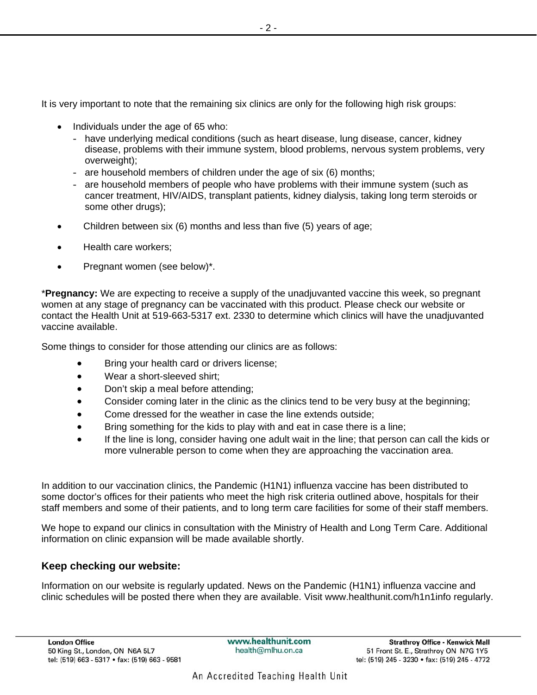It is very important to note that the remaining six clinics are only for the following high risk groups:

- Individuals under the age of 65 who:
	- have underlying medical conditions (such as heart disease, lung disease, cancer, kidney disease, problems with their immune system, blood problems, nervous system problems, very overweight);
	- are household members of children under the age of six (6) months;
	- are household members of people who have problems with their immune system (such as cancer treatment, HIV/AIDS, transplant patients, kidney dialysis, taking long term steroids or some other drugs);
- Children between six (6) months and less than five (5) years of age;
- Health care workers;
- Pregnant women (see below)\*.

\***Pregnancy:** We are expecting to receive a supply of the unadjuvanted vaccine this week, so pregnant women at any stage of pregnancy can be vaccinated with this product. Please check our website or contact the Health Unit at 519-663-5317 ext. 2330 to determine which clinics will have the unadjuvanted vaccine available.

Some things to consider for those attending our clinics are as follows:

- Bring your health card or drivers license;
- Wear a short-sleeved shirt;
- Don't skip a meal before attending;
- Consider coming later in the clinic as the clinics tend to be very busy at the beginning;
- Come dressed for the weather in case the line extends outside;
- Bring something for the kids to play with and eat in case there is a line;
- If the line is long, consider having one adult wait in the line; that person can call the kids or more vulnerable person to come when they are approaching the vaccination area.

In addition to our vaccination clinics, the Pandemic (H1N1) influenza vaccine has been distributed to some doctor's offices for their patients who meet the high risk criteria outlined above, hospitals for their staff members and some of their patients, and to long term care facilities for some of their staff members.

We hope to expand our clinics in consultation with the Ministry of Health and Long Term Care. Additional information on clinic expansion will be made available shortly.

#### **Keep checking our website:**

Information on our website is regularly updated. News on the Pandemic (H1N1) influenza vaccine and clinic schedules will be posted there when they are available. Visit www.healthunit.com/h1n1info regularly.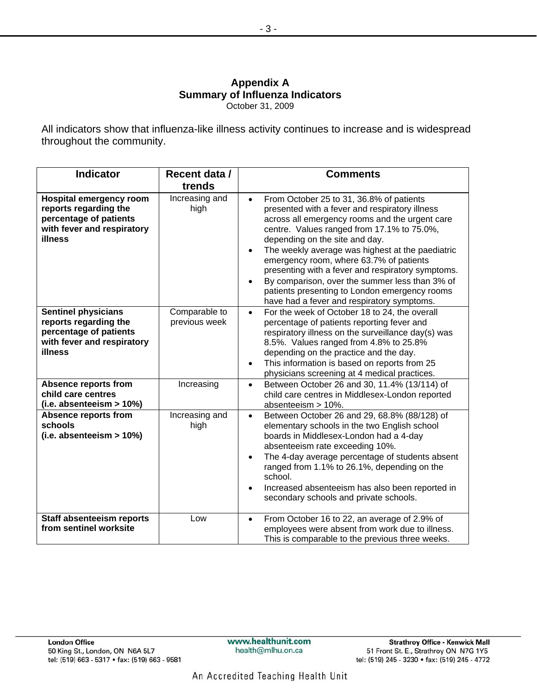#### **Appendix A Summary of Influenza Indicators**  October 31, 2009

All indicators show that influenza-like illness activity continues to increase and is widespread throughout the community.

| <b>Indicator</b>                                                                                                           | Recent data /<br>trends        | <b>Comments</b>                                                                                                                                                                                                                                                                                                                                                                                                                                                                                                                                |
|----------------------------------------------------------------------------------------------------------------------------|--------------------------------|------------------------------------------------------------------------------------------------------------------------------------------------------------------------------------------------------------------------------------------------------------------------------------------------------------------------------------------------------------------------------------------------------------------------------------------------------------------------------------------------------------------------------------------------|
| <b>Hospital emergency room</b><br>reports regarding the<br>percentage of patients<br>with fever and respiratory<br>illness | Increasing and<br>high         | From October 25 to 31, 36.8% of patients<br>$\bullet$<br>presented with a fever and respiratory illness<br>across all emergency rooms and the urgent care<br>centre. Values ranged from 17.1% to 75.0%,<br>depending on the site and day.<br>The weekly average was highest at the paediatric<br>emergency room, where 63.7% of patients<br>presenting with a fever and respiratory symptoms.<br>By comparison, over the summer less than 3% of<br>patients presenting to London emergency rooms<br>have had a fever and respiratory symptoms. |
| <b>Sentinel physicians</b><br>reports regarding the<br>percentage of patients<br>with fever and respiratory<br>illness     | Comparable to<br>previous week | For the week of October 18 to 24, the overall<br>$\bullet$<br>percentage of patients reporting fever and<br>respiratory illness on the surveillance day(s) was<br>8.5%. Values ranged from 4.8% to 25.8%<br>depending on the practice and the day.<br>This information is based on reports from 25<br>$\bullet$<br>physicians screening at 4 medical practices.                                                                                                                                                                                |
| <b>Absence reports from</b><br>child care centres<br>$(i.e.$ absenteeism > $10\%)$                                         | Increasing                     | Between October 26 and 30, 11.4% (13/114) of<br>$\bullet$<br>child care centres in Middlesex-London reported<br>absenteeism > 10%.                                                                                                                                                                                                                                                                                                                                                                                                             |
| <b>Absence reports from</b><br>schools<br>$(i.e.$ absenteeism $> 10\%)$                                                    | Increasing and<br>high         | Between October 26 and 29, 68.8% (88/128) of<br>$\bullet$<br>elementary schools in the two English school<br>boards in Middlesex-London had a 4-day<br>absenteeism rate exceeding 10%.<br>The 4-day average percentage of students absent<br>$\bullet$<br>ranged from 1.1% to 26.1%, depending on the<br>school.<br>Increased absenteeism has also been reported in<br>secondary schools and private schools.                                                                                                                                  |
| Staff absenteeism reports<br>from sentinel worksite                                                                        | Low                            | From October 16 to 22, an average of 2.9% of<br>$\bullet$<br>employees were absent from work due to illness.<br>This is comparable to the previous three weeks.                                                                                                                                                                                                                                                                                                                                                                                |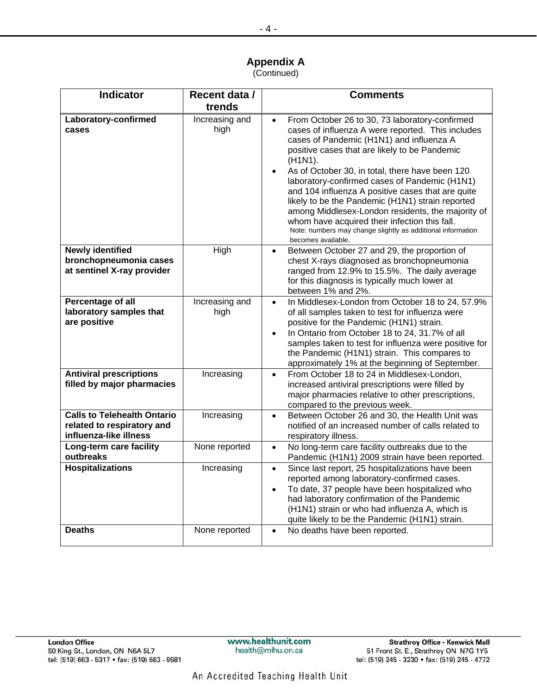#### **Appendix A**  (Continued)

| <b>Indicator</b>                                                                           | Recent data /<br>trends | <b>Comments</b>                                                                                                                                                                                                                                                                                                                                                                                                                                                                                                                                                                                                                                                         |  |
|--------------------------------------------------------------------------------------------|-------------------------|-------------------------------------------------------------------------------------------------------------------------------------------------------------------------------------------------------------------------------------------------------------------------------------------------------------------------------------------------------------------------------------------------------------------------------------------------------------------------------------------------------------------------------------------------------------------------------------------------------------------------------------------------------------------------|--|
| Laboratory-confirmed<br>cases                                                              | Increasing and<br>high  | From October 26 to 30, 73 laboratory-confirmed<br>$\bullet$<br>cases of influenza A were reported. This includes<br>cases of Pandemic (H1N1) and influenza A<br>positive cases that are likely to be Pandemic<br>(H <sub>1</sub> N <sub>1</sub> ).<br>As of October 30, in total, there have been 120<br>$\bullet$<br>laboratory-confirmed cases of Pandemic (H1N1)<br>and 104 influenza A positive cases that are quite<br>likely to be the Pandemic (H1N1) strain reported<br>among Middlesex-London residents, the majority of<br>whom have acquired their infection this fall.<br>Note: numbers may change slightly as additional information<br>becomes available. |  |
| <b>Newly identified</b><br>bronchopneumonia cases<br>at sentinel X-ray provider            | <b>High</b>             | Between October 27 and 29, the proportion of<br>$\bullet$<br>chest X-rays diagnosed as bronchopneumonia<br>ranged from 12.9% to 15.5%. The daily average<br>for this diagnosis is typically much lower at<br>between 1% and 2%.                                                                                                                                                                                                                                                                                                                                                                                                                                         |  |
| Percentage of all<br>laboratory samples that<br>are positive                               | Increasing and<br>high  | In Middlesex-London from October 18 to 24, 57.9%<br>$\bullet$<br>of all samples taken to test for influenza were<br>positive for the Pandemic (H1N1) strain.<br>In Ontario from October 18 to 24, 31.7% of all<br>$\bullet$<br>samples taken to test for influenza were positive for<br>the Pandemic (H1N1) strain. This compares to<br>approximately 1% at the beginning of September.                                                                                                                                                                                                                                                                                 |  |
| <b>Antiviral prescriptions</b><br>filled by major pharmacies                               | Increasing              | From October 18 to 24 in Middlesex-London,<br>$\bullet$<br>increased antiviral prescriptions were filled by<br>major pharmacies relative to other prescriptions,<br>compared to the previous week.                                                                                                                                                                                                                                                                                                                                                                                                                                                                      |  |
| <b>Calls to Telehealth Ontario</b><br>related to respiratory and<br>influenza-like illness | Increasing              | Between October 26 and 30, the Health Unit was<br>$\bullet$<br>notified of an increased number of calls related to<br>respiratory illness.                                                                                                                                                                                                                                                                                                                                                                                                                                                                                                                              |  |
| Long-term care facility<br>outbreaks                                                       | None reported           | No long-term care facility outbreaks due to the<br>$\bullet$<br>Pandemic (H1N1) 2009 strain have been reported.                                                                                                                                                                                                                                                                                                                                                                                                                                                                                                                                                         |  |
| <b>Hospitalizations</b>                                                                    | Increasing              | Since last report, 25 hospitalizations have been<br>$\bullet$<br>reported among laboratory-confirmed cases.<br>To date, 37 people have been hospitalized who<br>$\bullet$<br>had laboratory confirmation of the Pandemic<br>(H1N1) strain or who had influenza A, which is<br>quite likely to be the Pandemic (H1N1) strain.                                                                                                                                                                                                                                                                                                                                            |  |
| <b>Deaths</b>                                                                              | None reported           | No deaths have been reported.<br>$\bullet$                                                                                                                                                                                                                                                                                                                                                                                                                                                                                                                                                                                                                              |  |